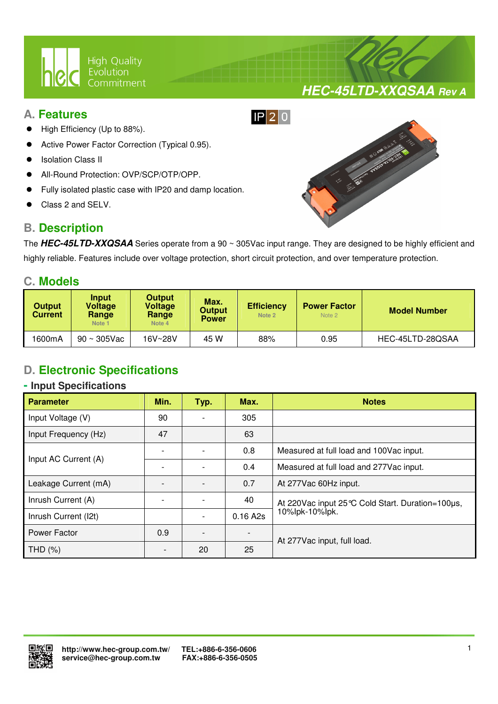

## **A. Features**

- High Efficiency (Up to 88%).
- Active Power Factor Correction (Typical 0.95).
- Isolation Class II
- All-Round Protection: OVP/SCP/OTP/OPP.
- Fully isolated plastic case with IP20 and damp location.

 $\overline{a}$ 

Class 2 and SELV.

## **B. Description**



**HEC-45LTD-XXQSAA Rev A**

The **HEC-45LTD-XXQSAA** Series operate from a 90 ~ 305Vac input range. They are designed to be highly efficient and highly reliable. Features include over voltage protection, short circuit protection, and over temperature protection.

## **C. Models**

| <b>Output</b><br><b>Current</b> | Input<br>Voltage<br>Range<br>Note <sub>1</sub> | <b>Output</b><br>Voltage<br>Range<br>Note 4 | Max.<br><b>Output</b><br><b>Power</b> | <b>Efficiency</b><br>Note 2 | <b>Power Factor</b><br>Note 2 | <b>Model Number</b> |  |
|---------------------------------|------------------------------------------------|---------------------------------------------|---------------------------------------|-----------------------------|-------------------------------|---------------------|--|
| 1600mA                          | $90 \sim 305$ Vac                              | 16V~28V                                     | 45 W                                  | 88%                         | 0.95                          | HEC-45LTD-28QSAA    |  |

## **D. Electronic Specifications**

#### **- Input Specifications**

| <b>Parameter</b>     | Min. | Typ. | Max.     | <b>Notes</b>                                       |  |
|----------------------|------|------|----------|----------------------------------------------------|--|
| Input Voltage (V)    | 90   |      | 305      |                                                    |  |
| Input Frequency (Hz) | 47   |      | 63       |                                                    |  |
| Input AC Current (A) |      |      | 0.8      | Measured at full load and 100Vac input.            |  |
|                      |      |      | 0.4      | Measured at full load and 277Vac input.            |  |
| Leakage Current (mA) |      |      | 0.7      | At 277Vac 60Hz input.                              |  |
| Inrush Current (A)   |      |      | 40       | At 220 Vac input 25 °C Cold Start. Duration=100µs, |  |
| Inrush Current (I2t) |      |      | 0.16 A2s | 10%lpk-10%lpk.                                     |  |
| Power Factor         | 0.9  |      |          | At 277Vac input, full load.                        |  |
| THD (%)              |      | 20   | 25       |                                                    |  |

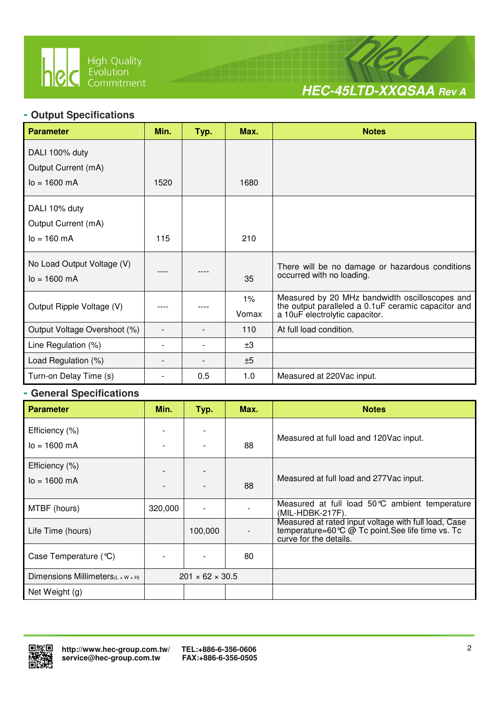

 $\overline{a}$ 



## **- Output Specifications**

| <b>Parameter</b>                                      | Min. | Typ. | Max.  | <b>Notes</b>                                                                          |
|-------------------------------------------------------|------|------|-------|---------------------------------------------------------------------------------------|
| DALI 100% duty                                        |      |      |       |                                                                                       |
| Output Current (mA)                                   |      |      |       |                                                                                       |
| $lo = 1600 mA$                                        | 1520 |      | 1680  |                                                                                       |
| DALI 10% duty                                         |      |      |       |                                                                                       |
| Output Current (mA)                                   |      |      |       |                                                                                       |
| $I_0 = 160 \text{ mA}$                                | 115  |      | 210   |                                                                                       |
| No Load Output Voltage (V)<br>$I_0 = 1600 \text{ mA}$ |      |      | 35    | There will be no damage or hazardous conditions<br>occurred with no loading.          |
|                                                       |      |      | $1\%$ | Measured by 20 MHz bandwidth oscilloscopes and                                        |
| Output Ripple Voltage (V)                             |      |      | Vomax | the output paralleled a 0.1uF ceramic capacitor and<br>a 10uF electrolytic capacitor. |
| Output Voltage Overshoot (%)                          |      |      | 110   | At full load condition.                                                               |
| Line Regulation (%)                                   |      |      | ±3    |                                                                                       |
| Load Regulation (%)                                   |      |      | ±5    |                                                                                       |
| Turn-on Delay Time (s)                                |      | 0.5  | 1.0   | Measured at 220Vac input.                                                             |

#### **- General Specifications**

| <b>Parameter</b>                               | Min.    | Typ.                        | Max. | <b>Notes</b>                                                                                                                                                  |
|------------------------------------------------|---------|-----------------------------|------|---------------------------------------------------------------------------------------------------------------------------------------------------------------|
| Efficiency (%)                                 |         |                             |      |                                                                                                                                                               |
| $lo = 1600 mA$                                 |         |                             | 88   | Measured at full load and 120Vac input.                                                                                                                       |
| Efficiency (%)                                 |         |                             |      |                                                                                                                                                               |
| $I_0 = 1600 \text{ mA}$                        |         |                             | 88   | Measured at full load and 277 Vac input.                                                                                                                      |
| MTBF (hours)                                   | 320,000 |                             |      | Measured at full load 50°C ambient temperature<br>(MIL-HDBK-217F).                                                                                            |
| Life Time (hours)                              |         | 100,000                     |      | Measured at rated input voltage with full load, Case<br>temperature=60 $\degree$ $\degree$ $\degree$ Tc point. See life time vs. Tc<br>curve for the details. |
| Case Temperature (°C)                          |         |                             | 80   |                                                                                                                                                               |
| Dimensions Millimeters $(L \times W \times H)$ |         | $201 \times 62 \times 30.5$ |      |                                                                                                                                                               |
| Net Weight (g)                                 |         |                             |      |                                                                                                                                                               |

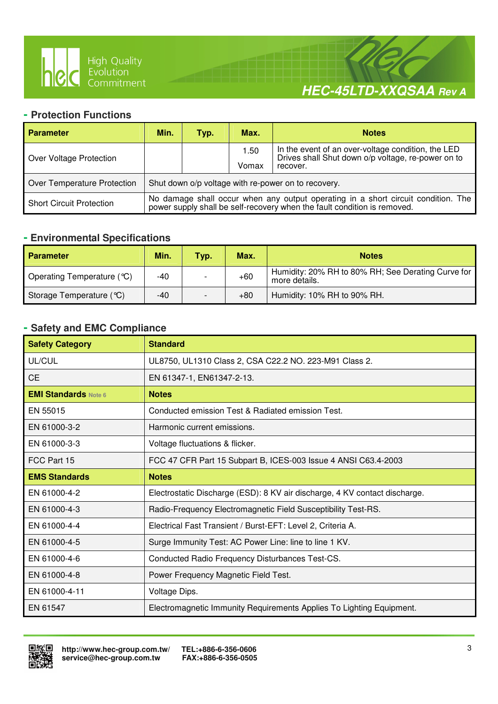

 $\overline{a}$ 



#### **- Protection Functions**

| <b>Parameter</b>                | Min.                                                                                                                                                       | Typ. | Max.  | <b>Notes</b>                                                                                             |  |  |
|---------------------------------|------------------------------------------------------------------------------------------------------------------------------------------------------------|------|-------|----------------------------------------------------------------------------------------------------------|--|--|
| Over Voltage Protection         |                                                                                                                                                            |      | 1.50  | In the event of an over-voltage condition, the LED<br>Drives shall Shut down o/p voltage, re-power on to |  |  |
|                                 |                                                                                                                                                            |      | Vomax | recover.                                                                                                 |  |  |
| Over Temperature Protection     | Shut down o/p voltage with re-power on to recovery.                                                                                                        |      |       |                                                                                                          |  |  |
| <b>Short Circuit Protection</b> | No damage shall occur when any output operating in a short circuit condition. The power supply shall be self-recovery when the fault condition is removed. |      |       |                                                                                                          |  |  |

## **- Environmental Specifications**

| <b>Parameter</b>           | Min. | Typ. | Max.  | <b>Notes</b>                                                        |
|----------------------------|------|------|-------|---------------------------------------------------------------------|
| Operating Temperature (°C) | -40  |      | $+60$ | Humidity: 20% RH to 80% RH; See Derating Curve for<br>more details. |
| Storage Temperature (°C)   | -40  |      | $+80$ | Humidity: 10% RH to 90% RH.                                         |

## **- Safety and EMC Compliance**

| <b>Safety Category</b>      | <b>Standard</b>                                                            |
|-----------------------------|----------------------------------------------------------------------------|
| UL/CUL                      | UL8750, UL1310 Class 2, CSA C22.2 NO. 223-M91 Class 2.                     |
| <b>CE</b>                   | EN 61347-1, EN61347-2-13.                                                  |
| <b>EMI Standards Note 6</b> | <b>Notes</b>                                                               |
| EN 55015                    | Conducted emission Test & Radiated emission Test.                          |
| EN 61000-3-2                | Harmonic current emissions.                                                |
| EN 61000-3-3                | Voltage fluctuations & flicker.                                            |
| FCC Part 15                 | FCC 47 CFR Part 15 Subpart B, ICES-003 Issue 4 ANSI C63.4-2003             |
| <b>EMS Standards</b>        | <b>Notes</b>                                                               |
| EN 61000-4-2                | Electrostatic Discharge (ESD): 8 KV air discharge, 4 KV contact discharge. |
| EN 61000-4-3                | Radio-Frequency Electromagnetic Field Susceptibility Test-RS.              |
| EN 61000-4-4                | Electrical Fast Transient / Burst-EFT: Level 2, Criteria A.                |
| EN 61000-4-5                | Surge Immunity Test: AC Power Line: line to line 1 KV.                     |
| EN 61000-4-6                | Conducted Radio Frequency Disturbances Test-CS.                            |
| EN 61000-4-8                | Power Frequency Magnetic Field Test.                                       |
| EN 61000-4-11               | Voltage Dips.                                                              |
| EN 61547                    | Electromagnetic Immunity Requirements Applies To Lighting Equipment.       |

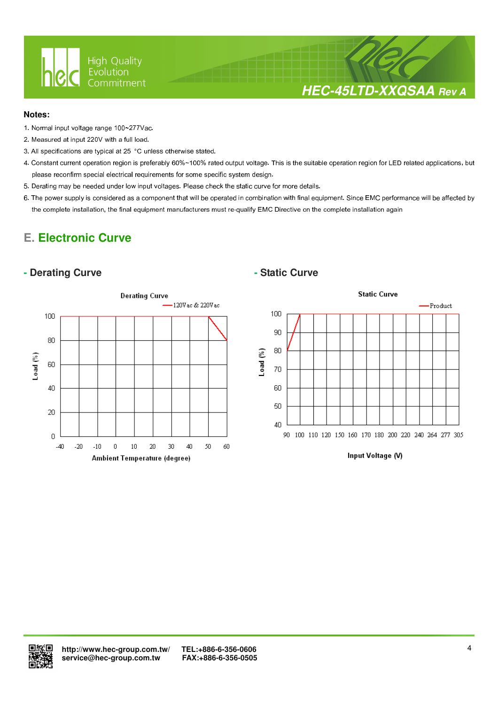

## **HEC-45LTD-XXQSAA Rev A**

#### **Notes:**

- 1. Normal input voltage range 100~277Vac.
- 2. Measured at input 220V with a full load.
- 3. All specifications are typical at 25 °C unless otherwise stated.

 $\overline{a}$ 

- 4. Constant current operation region is preferably 60%~100% rated output voltage. This is the suitable operation region for LED related applications, but please reconfirm special electrical requirements for some specific system design.
- 5. Derating may be needed under low input voltages. Please check the static curve for more details.
- 6. The power supply is considered as a component that will be operated in combination with final equipment. Since EMC performance will be affected by the complete installation, the final equipment manufacturers must re-qualify EMC Directive on the complete installation again

## **E. Electronic Curve**

#### **- Derating Curve**  $\qquad$  **- Static Curve**





Input Voltage (V)

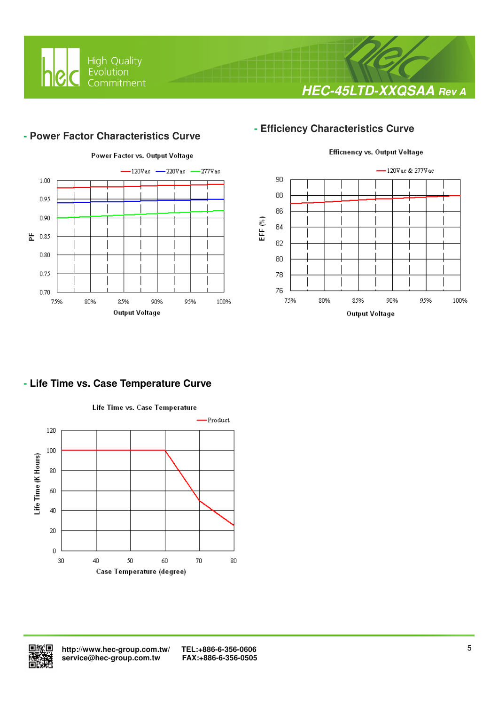

## **HEC-45LTD-XXQSAA Rev A**

#### **- Power Factor Characteristics Curve**

 $\overline{a}$ 



## **- Efficiency Characteristics Curve**



### **- Life Time vs. Case Temperature Curve**